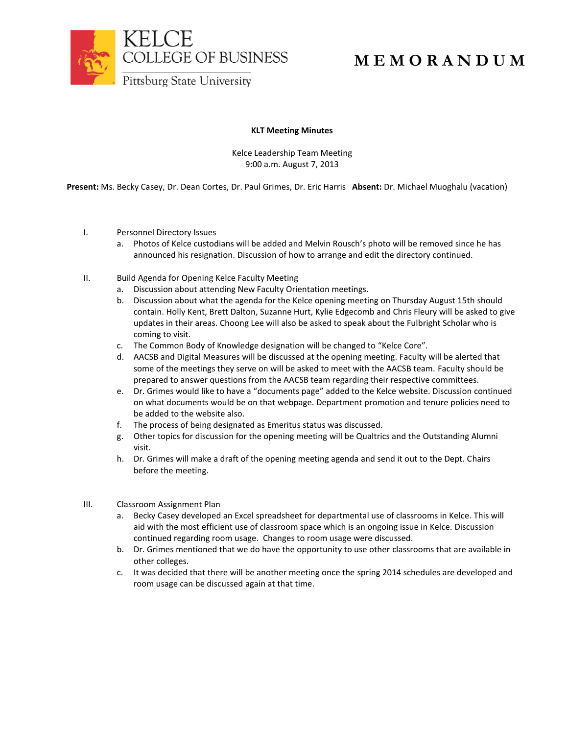

## **M E M O R A N D U M**

## **KLT Meeting Minutes**

Kelce Leadership Team Meeting 9:00 a.m. August 7, 2013

**Present:** Ms. Becky Casey, Dr. Dean Cortes, Dr. Paul Grimes, Dr. Eric Harris **Absent:** Dr. Michael Muoghalu (vacation)

- I. Personnel Directory Issues
	- a. Photos of Kelce custodians will be added and Melvin Rousch's photo will be removed since he has announced his resignation. Discussion of how to arrange and edit the directory continued.
- II. Build Agenda for Opening Kelce Faculty Meeting
	- a. Discussion about attending New Faculty Orientation meetings.
	- b. Discussion about what the agenda for the Kelce opening meeting on Thursday August 15th should contain. Holly Kent, Brett Dalton, Suzanne Hurt, Kylie Edgecomb and Chris Fleury will be asked to give updates in their areas. Choong Lee will also be asked to speak about the Fulbright Scholar who is coming to visit.
	- c. The Common Body of Knowledge designation will be changed to "Kelce Core".
	- d. AACSB and Digital Measures will be discussed at the opening meeting. Faculty will be alerted that some of the meetings they serve on will be asked to meet with the AACSB team. Faculty should be prepared to answer questions from the AACSB team regarding their respective committees.
	- e. Dr. Grimes would like to have a "documents page" added to the Kelce website. Discussion continued on what documents would be on that webpage. Department promotion and tenure policies need to be added to the website also.
	- f. The process of being designated as Emeritus status was discussed.
	- g. Other topics for discussion for the opening meeting will be Qualtrics and the Outstanding Alumni visit.
	- h. Dr. Grimes will make a draft of the opening meeting agenda and send it out to the Dept. Chairs before the meeting.
- III. Classroom Assignment Plan
	- a. Becky Casey developed an Excel spreadsheet for departmental use of classrooms in Kelce. This will aid with the most efficient use of classroom space which is an ongoing issue in Kelce. Discussion continued regarding room usage. Changes to room usage were discussed.
	- b. Dr. Grimes mentioned that we do have the opportunity to use other classrooms that are available in other colleges.
	- c. It was decided that there will be another meeting once the spring 2014 schedules are developed and room usage can be discussed again at that time.